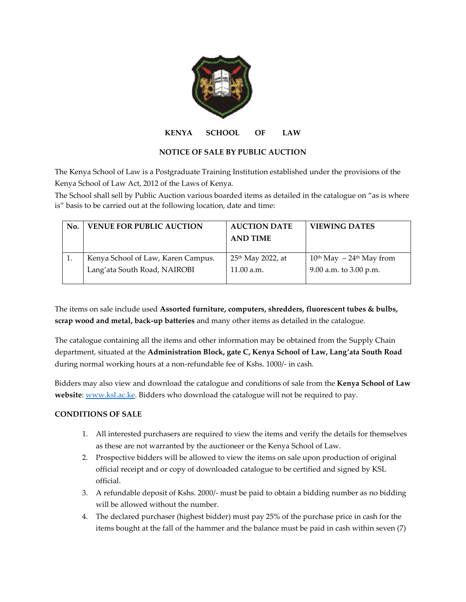

**KENYA SCHOOL OF LAW**

## **NOTICE OF SALE BY PUBLIC AUCTION**

The Kenya School of Law is a Postgraduate Training Institution established under the provisions of the Kenya School of Law Act, 2012 of the Laws of Kenya.

The School shall sell by Public Auction various boarded items as detailed in the catalogue on "as is where is" basis to be carried out at the following location, date and time:

| No. | <b>VENUE FOR PUBLIC AUCTION</b>                                    | <b>AUCTION DATE</b><br><b>AND TIME</b>      | <b>VIEWING DATES</b>                                  |
|-----|--------------------------------------------------------------------|---------------------------------------------|-------------------------------------------------------|
|     | Kenya School of Law, Karen Campus.<br>Lang'ata South Road, NAIROBI | 25 <sup>th</sup> May 2022, at<br>11.00 a.m. | $10th$ May $-24th$ May from<br>9.00 a.m. to 3.00 p.m. |
|     |                                                                    |                                             |                                                       |

The items on sale include used **Assorted furniture, computers, shredders, fluorescent tubes & bulbs, scrap wood and metal, back-up batteries** and many other items as detailed in the catalogue.

The catalogue containing all the items and other information may be obtained from the Supply Chain department, situated at the **Administration Block, gate C, Kenya School of Law, Lang'ata South Road** during normal working hours at a non-refundable fee of Kshs. 1000/- in cash.

Bidders may also view and download the catalogue and conditions of sale from the **Kenya School of Law website**[: www.ksl.ac.ke.](http://www.ksl.ac.ke/) Bidders who download the catalogue will not be required to pay.

## **CONDITIONS OF SALE**

- 1. All interested purchasers are required to view the items and verify the details for themselves as these are not warranted by the auctioneer or the Kenya School of Law.
- 2. Prospective bidders will be allowed to view the items on sale upon production of original official receipt and or copy of downloaded catalogue to be certified and signed by KSL official.
- 3. A refundable deposit of Kshs. 2000/- must be paid to obtain a bidding number as no bidding will be allowed without the number.
- 4. The declared purchaser (highest bidder) must pay 25% of the purchase price in cash for the items bought at the fall of the hammer and the balance must be paid in cash within seven (7)